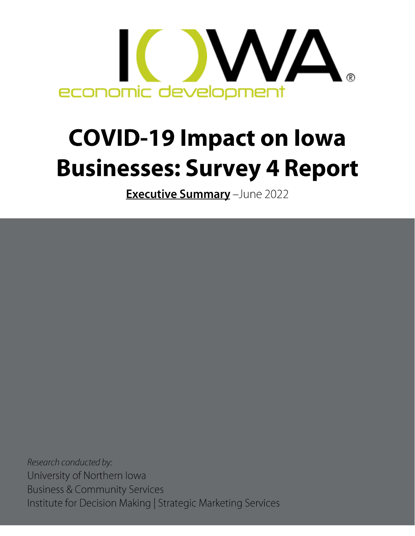

# **COVID-19 Impact on Iowa Businesses: Survey 4 Report**

Executive Summary - June 2022

Research conducted by: University of Northern Iowa Business & Community Services Institute for Decision Making | Strategic Marketing Services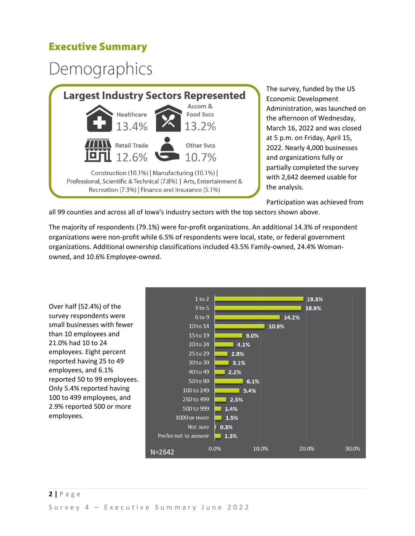### **Executive Summary**

### Demographics



The survey, funded by the US Economic Development Administration, was launched on the afternoon of Wednesday, March 16, 2022 and was closed at 5 p.m. on Friday, April 15, 2022. Nearly 4,000 businesses and organizations fully or partially completed the survey with 2,642 deemed usable for the analysis.

Participation was achieved from

all 99 counties and across all of Iowa's industry sectors with the top sectors shown above.

The majority of respondents (79.1%) were for-profit organizations. An additional 14.3% of respondent organizations were non-profit while 6.5% of respondents were local, state, or federal government organizations. Additional ownership classifications included 43.5% Family-owned, 24.4% Womanowned, and 10.6% Employee-owned.

Over half (52.4%) of the survey respondents were small businesses with fewer than 10 employees and 21.0% had 10 to 24 employees. Eight percent reported having 25 to 49 employees, and 6.1% reported 50 to 99 employees. Only 5.4% reported having 100 to 499 employees, and 2.9% reported 500 or more employees.

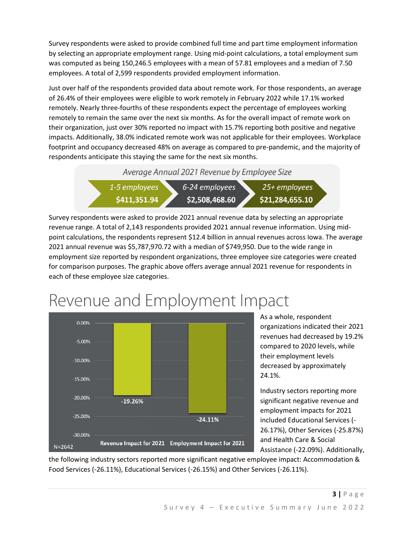Survey respondents were asked to provide combined full time and part time employment information by selecting an appropriate employment range. Using mid-point calculations, a total employment sum was computed as being 150,246.5 employees with a mean of 57.81 employees and a median of 7.50 employees. A total of 2,599 respondents provided employment information.

Just over half of the respondents provided data about remote work. For those respondents, an average of 26.4% of their employees were eligible to work remotely in February 2022 while 17.1% worked remotely. Nearly three-fourths of these respondents expect the percentage of employees working remotely to remain the same over the next six months. As for the overall impact of remote work on their organization, just over 30% reported no impact with 15.7% reporting both positive and negative impacts. Additionally, 38.0% indicated remote work was not applicable for their employees. Workplace footprint and occupancy decreased 48% on average as compared to pre-pandemic, and the majority of respondents anticipate this staying the same for the next six months.

Average Annual 2021 Revenue by Employee Size



Survey respondents were asked to provide 2021 annual revenue data by selecting an appropriate revenue range. A total of 2,143 respondents provided 2021 annual revenue information. Using midpoint calculations, the respondents represent \$12.4 billion in annual revenues across Iowa. The average 2021 annual revenue was \$5,787,970.72 with a median of \$749,950. Due to the wide range in employment size reported by respondent organizations, three employee size categories were created for comparison purposes. The graphic above offers average annual 2021 revenue for respondents in each of these employee size categories.



Revenue and Employment Impact

As a whole, respondent organizations indicated their 2021 revenues had decreased by 19.2% compared to 2020 levels, while their employment levels decreased by approximately 24.1%.

Industry sectors reporting more significant negative revenue and employment impacts for 2021 included Educational Services (- 26.17%), Other Services (-25.87%) and Health Care & Social Assistance (-22.09%). Additionally,

the following industry sectors reported more significant negative employee impact: Accommodation & Food Services (-26.11%), Educational Services (-26.15%) and Other Services (-26.11%).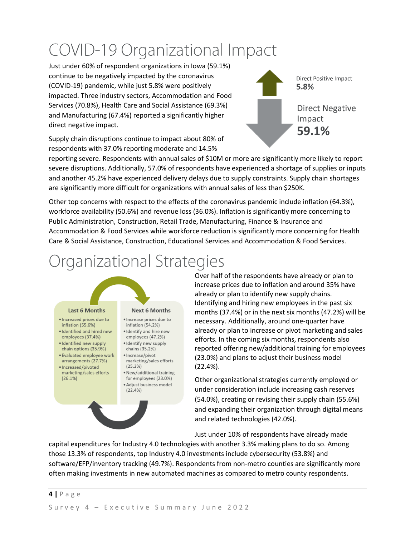### COVID-19 Organizational Impact

Just under 60% of respondent organizations in Iowa (59.1%) continue to be negatively impacted by the coronavirus (COVID-19) pandemic, while just 5.8% were positively impacted. Three industry sectors, Accommodation and Food Services (70.8%), Health Care and Social Assistance (69.3%) and Manufacturing (67.4%) reported a significantly higher direct negative impact.



Supply chain disruptions continue to impact about 80% of respondents with 37.0% reporting moderate and 14.5%

reporting severe. Respondents with annual sales of \$10M or more are significantly more likely to report severe disruptions. Additionally, 57.0% of respondents have experienced a shortage of supplies or inputs and another 45.2% have experienced delivery delays due to supply constraints. Supply chain shortages are significantly more difficult for organizations with annual sales of less than \$250K.

Other top concerns with respect to the effects of the coronavirus pandemic include inflation (64.3%), workforce availability (50.6%) and revenue loss (36.0%). Inflation is significantly more concerning to Public Administration, Construction, Retail Trade, Manufacturing, Finance & Insurance and Accommodation & Food Services while workforce reduction is significantly more concerning for Health Care & Social Assistance, Construction, Educational Services and Accommodation & Food Services.

### Organizational Strategies



Over half of the respondents have already or plan to increase prices due to inflation and around 35% have already or plan to identify new supply chains. Identifying and hiring new employees in the past six months (37.4%) or in the next six months (47.2%) will be necessary. Additionally, around one-quarter have already or plan to increase or pivot marketing and sales efforts. In the coming six months, respondents also reported offering new/additional training for employees (23.0%) and plans to adjust their business model (22.4%).

Other organizational strategies currently employed or under consideration include increasing cash reserves (54.0%), creating or revising their supply chain (55.6%) and expanding their organization through digital means and related technologies (42.0%).

Just under 10% of respondents have already made

capital expenditures for Industry 4.0 technologies with another 3.3% making plans to do so. Among those 13.3% of respondents, top Industry 4.0 investments include cybersecurity (53.8%) and software/EFP/inventory tracking (49.7%). Respondents from non-metro counties are significantly more often making investments in new automated machines as compared to metro county respondents.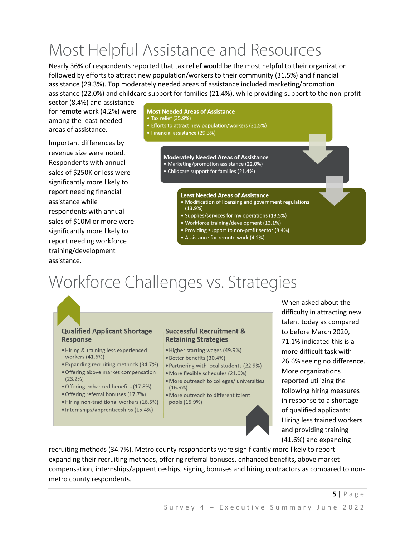## Most Helpful Assistance and Resources

Nearly 36% of respondents reported that tax relief would be the most helpful to their organization followed by efforts to attract new population/workers to their community (31.5%) and financial assistance (29.3%). Top moderately needed areas of assistance included marketing/promotion assistance (22.0%) and childcare support for families (21.4%), while providing support to the non-profit

sector (8.4%) and assistance for remote work (4.2%) were among the least needed areas of assistance.

Important differences by revenue size were noted. Respondents with annual sales of \$250K or less were significantly more likely to report needing financial assistance while respondents with annual sales of \$10M or more were significantly more likely to report needing workforce training/development assistance.

#### **Most Needed Areas of Assistance**

- Tax relief (35.9%)
- Efforts to attract new population/workers (31.5%)
- Financial assistance (29.3%)

#### **Moderately Needed Areas of Assistance**

- Marketing/promotion assistance (22.0%)
- Childcare support for families (21.4%)

#### **Least Needed Areas of Assistance**

- · Modification of licensing and government regulations  $(13.9%)$
- Supplies/services for my operations (13.5%)
- Workforce training/development (13.1%)
- Providing support to non-profit sector (8.4%)
- Assistance for remote work (4.2%)

### Workforce Challenges vs. Strategies



#### **Qualified Applicant Shortage Response**

- · Hiring & training less experienced workers (41.6%)
- Expanding recruiting methods (34.7%)
- Offering above market compensation  $(23.2%)$
- · Offering enhanced benefits (17.8%)
- · Offering referral bonuses (17.7%)
- · Hiring non-traditional workers (16.5%)
- · Internships/apprenticeships (15.4%)

#### **Successful Recruitment & Retaining Strategies**

- · Higher starting wages (49.9%)
- · Better benefits (30.4%)
- · Partnering with local students (22.9%)
- · More flexible schedules (21.0%)
- · More outreach to colleges/ universities  $(16.9\%)$
- . More outreach to different talent pools (15.9%)

When asked about the difficulty in attracting new talent today as compared to before March 2020, 71.1% indicated this is a more difficult task with 26.6% seeing no difference. More organizations reported utilizing the following hiring measures in response to a shortage of qualified applicants: Hiring less trained workers and providing training (41.6%) and expanding

recruiting methods (34.7%). Metro county respondents were significantly more likely to report expanding their recruiting methods, offering referral bonuses, enhanced benefits, above market compensation, internships/apprenticeships, signing bonuses and hiring contractors as compared to nonmetro county respondents.